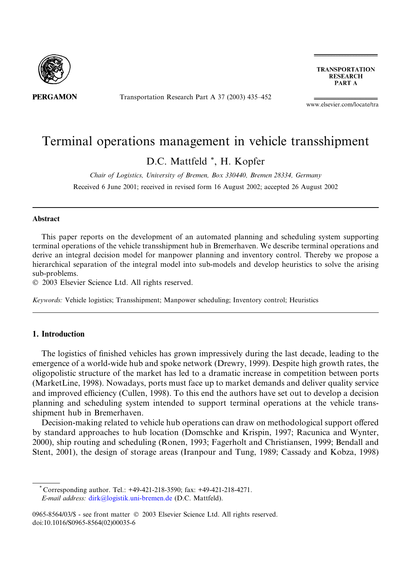

**PERGAMON** 

Transportation Research Part A 37 (2003) 435–452

**TRANSPORTATION RESEARCH** PART A

www.elsevier.com/locate/tra

## Terminal operations management in vehicle transshipment

D.C. Mattfeld \*, H. Kopfer

Chair of Logistics, University of Bremen, Box 330440, Bremen 28334, Germany Received 6 June 2001; received in revised form 16 August 2002; accepted 26 August 2002

#### Abstract

This paper reports on the development of an automated planning and scheduling system supporting terminal operations of the vehicle transshipment hub in Bremerhaven. We describe terminal operations and derive an integral decision model for manpower planning and inventory control. Thereby we propose a hierarchical separation of the integral model into sub-models and develop heuristics to solve the arising sub-problems.

2003 Elsevier Science Ltd. All rights reserved.

Keywords: Vehicle logistics; Transshipment; Manpower scheduling; Inventory control; Heuristics

### 1. Introduction

The logistics of finished vehicles has grown impressively during the last decade, leading to the emergence of a world-wide hub and spoke network (Drewry, 1999). Despite high growth rates, the oligopolistic structure of the market has led to a dramatic increase in competition between ports (MarketLine, 1998). Nowadays, ports must face up to market demands and deliver quality service and improved efficiency (Cullen, 1998). To this end the authors have set out to develop a decision planning and scheduling system intended to support terminal operations at the vehicle transshipment hub in Bremerhaven.

Decision-making related to vehicle hub operations can draw on methodological support offered by standard approaches to hub location (Domschke and Krispin, 1997; Racunica and Wynter, 2000), ship routing and scheduling (Ronen, 1993; Fagerholt and Christiansen, 1999; Bendall and Stent, 2001), the design of storage areas (Iranpour and Tung, 1989; Cassady and Kobza, 1998)

\* Corresponding author. Tel.: +49-421-218-3590; fax: +49-421-218-4271. E-mail address: [dirk@logistik.uni-bremen.de](mail to: dirk@logistik.uni-bremen.de) (D.C. Mattfeld).

<sup>0965-8564/03/\$ -</sup> see front matter  $\odot$  2003 Elsevier Science Ltd. All rights reserved. doi:10.1016/S0965-8564(02)00035-6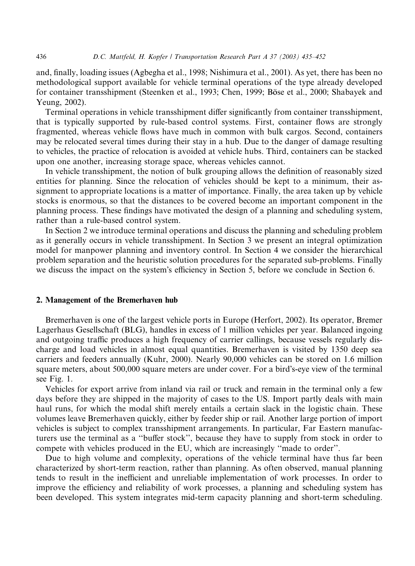and, finally, loading issues (Agbegha et al., 1998; Nishimura et al., 2001). As yet, there has been no methodological support available for vehicle terminal operations of the type already developed for container transshipment (Steenken et al., 1993; Chen, 1999; Böse et al., 2000; Shabayek and Yeung, 2002).

Terminal operations in vehicle transshipment differ significantly from container transshipment, that is typically supported by rule-based control systems. First, container flows are strongly fragmented, whereas vehicle flows have much in common with bulk cargos. Second, containers may be relocated several times during their stay in a hub. Due to the danger of damage resulting to vehicles, the practice of relocation is avoided at vehicle hubs. Third, containers can be stacked upon one another, increasing storage space, whereas vehicles cannot.

In vehicle transshipment, the notion of bulk grouping allows the definition of reasonably sized entities for planning. Since the relocation of vehicles should be kept to a minimum, their assignment to appropriate locations is a matter of importance. Finally, the area taken up by vehicle stocks is enormous, so that the distances to be covered become an important component in the planning process. These findings have motivated the design of a planning and scheduling system, rather than a rule-based control system.

In Section 2 we introduce terminal operations and discuss the planning and scheduling problem as it generally occurs in vehicle transshipment. In Section 3 we present an integral optimization model for manpower planning and inventory control. In Section 4 we consider the hierarchical problem separation and the heuristic solution procedures for the separated sub-problems. Finally we discuss the impact on the system's efficiency in Section 5, before we conclude in Section 6.

#### 2. Management of the Bremerhaven hub

Bremerhaven is one of the largest vehicle ports in Europe (Herfort, 2002). Its operator, Bremer Lagerhaus Gesellschaft (BLG), handles in excess of 1 million vehicles per year. Balanced ingoing and outgoing traffic produces a high frequency of carrier callings, because vessels regularly discharge and load vehicles in almost equal quantities. Bremerhaven is visited by 1350 deep sea carriers and feeders annually (Kuhr, 2000). Nearly 90,000 vehicles can be stored on 1.6 million square meters, about 500,000 square meters are under cover. For a bird's-eye view of the terminal see Fig. 1.

Vehicles for export arrive from inland via rail or truck and remain in the terminal only a few days before they are shipped in the majority of cases to the US. Import partly deals with main haul runs, for which the modal shift merely entails a certain slack in the logistic chain. These volumes leave Bremerhaven quickly, either by feeder ship or rail. Another large portion of import vehicles is subject to complex transshipment arrangements. In particular, Far Eastern manufacturers use the terminal as a ''buffer stock'', because they have to supply from stock in order to compete with vehicles produced in the EU, which are increasingly ''made to order''.

Due to high volume and complexity, operations of the vehicle terminal have thus far been characterized by short-term reaction, rather than planning. As often observed, manual planning tends to result in the inefficient and unreliable implementation of work processes. In order to improve the efficiency and reliability of work processes, a planning and scheduling system has been developed. This system integrates mid-term capacity planning and short-term scheduling.